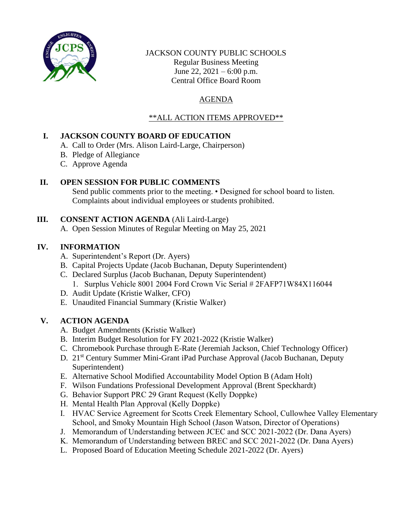

### JACKSON COUNTY PUBLIC SCHOOLS Regular Business Meeting June 22,  $2021 - 6:00$  p.m. Central Office Board Room

# AGENDA

# \*\*ALL ACTION ITEMS APPROVED\*\*

# **I. JACKSON COUNTY BOARD OF EDUCATION**

- A. Call to Order (Mrs. Alison Laird-Large, Chairperson)
- B. Pledge of Allegiance
- C. Approve Agenda

# **II. OPEN SESSION FOR PUBLIC COMMENTS**

Send public comments prior to the meeting. • Designed for school board to listen. Complaints about individual employees or students prohibited.

# **III. CONSENT ACTION AGENDA** (Ali Laird-Large)

A. Open Session Minutes of Regular Meeting on May 25, 2021

# **IV. INFORMATION**

- A. Superintendent's Report (Dr. Ayers)
- B. Capital Projects Update (Jacob Buchanan, Deputy Superintendent)
- C. Declared Surplus (Jacob Buchanan, Deputy Superintendent) 1. Surplus Vehicle 8001 2004 Ford Crown Vic Serial # 2FAFP71W84X116044
- D. Audit Update (Kristie Walker, CFO)
- E. Unaudited Financial Summary (Kristie Walker)

# **V. ACTION AGENDA**

- A. Budget Amendments (Kristie Walker)
- B. Interim Budget Resolution for FY 2021-2022 (Kristie Walker)
- C. Chromebook Purchase through E-Rate (Jeremiah Jackson, Chief Technology Officer)
- D. 21<sup>st</sup> Century Summer Mini-Grant iPad Purchase Approval (Jacob Buchanan, Deputy Superintendent)
- E. Alternative School Modified Accountability Model Option B (Adam Holt)
- F. Wilson Fundations Professional Development Approval (Brent Speckhardt)
- G. Behavior Support PRC 29 Grant Request (Kelly Doppke)
- H. Mental Health Plan Approval (Kelly Doppke)
- I. HVAC Service Agreement for Scotts Creek Elementary School, Cullowhee Valley Elementary School, and Smoky Mountain High School (Jason Watson, Director of Operations)
- J. Memorandum of Understanding between JCEC and SCC 2021-2022 (Dr. Dana Ayers)
- K. Memorandum of Understanding between BREC and SCC 2021-2022 (Dr. Dana Ayers)
- L. Proposed Board of Education Meeting Schedule 2021-2022 (Dr. Ayers)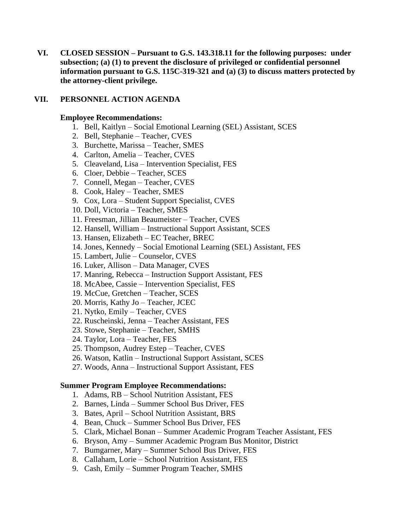**VI. CLOSED SESSION – Pursuant to G.S. 143.318.11 for the following purposes: under subsection; (a) (1) to prevent the disclosure of privileged or confidential personnel information pursuant to G.S. 115C-319-321 and (a) (3) to discuss matters protected by the attorney-client privilege.**

### **VII. PERSONNEL ACTION AGENDA**

### **Employee Recommendations:**

- 1. Bell, Kaitlyn Social Emotional Learning (SEL) Assistant, SCES
- 2. Bell, Stephanie Teacher, CVES
- 3. Burchette, Marissa Teacher, SMES
- 4. Carlton, Amelia Teacher, CVES
- 5. Cleaveland, Lisa Intervention Specialist, FES
- 6. Cloer, Debbie Teacher, SCES
- 7. Connell, Megan Teacher, CVES
- 8. Cook, Haley Teacher, SMES
- 9. Cox, Lora Student Support Specialist, CVES
- 10. Doll, Victoria Teacher, SMES
- 11. Freesman, Jillian Beaumeister Teacher, CVES
- 12. Hansell, William Instructional Support Assistant, SCES
- 13. Hansen, Elizabeth EC Teacher, BREC
- 14. Jones, Kennedy Social Emotional Learning (SEL) Assistant, FES
- 15. Lambert, Julie Counselor, CVES
- 16. Luker, Allison Data Manager, CVES
- 17. Manring, Rebecca Instruction Support Assistant, FES
- 18. McAbee, Cassie Intervention Specialist, FES
- 19. McCue, Gretchen Teacher, SCES
- 20. Morris, Kathy Jo Teacher, JCEC
- 21. Nytko, Emily Teacher, CVES
- 22. Ruscheinski, Jenna Teacher Assistant, FES
- 23. Stowe, Stephanie Teacher, SMHS
- 24. Taylor, Lora Teacher, FES
- 25. Thompson, Audrey Estep Teacher, CVES
- 26. Watson, Katlin Instructional Support Assistant, SCES
- 27. Woods, Anna Instructional Support Assistant, FES

#### **Summer Program Employee Recommendations:**

- 1. Adams, RB School Nutrition Assistant, FES
- 2. Barnes, Linda Summer School Bus Driver, FES
- 3. Bates, April School Nutrition Assistant, BRS
- 4. Bean, Chuck Summer School Bus Driver, FES
- 5. Clark, Michael Bonan Summer Academic Program Teacher Assistant, FES
- 6. Bryson, Amy Summer Academic Program Bus Monitor, District
- 7. Bumgarner, Mary Summer School Bus Driver, FES
- 8. Callaham, Lorie School Nutrition Assistant, FES
- 9. Cash, Emily Summer Program Teacher, SMHS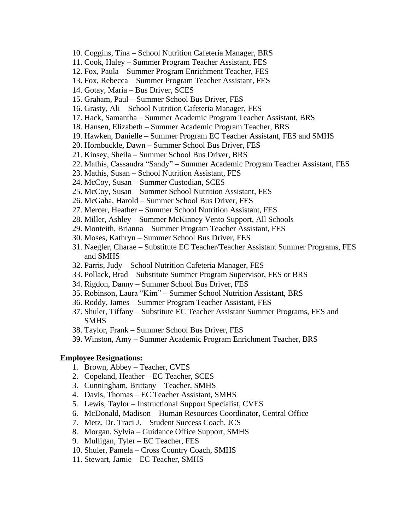- 10. Coggins, Tina School Nutrition Cafeteria Manager, BRS
- 11. Cook, Haley Summer Program Teacher Assistant, FES
- 12. Fox, Paula Summer Program Enrichment Teacher, FES
- 13. Fox, Rebecca Summer Program Teacher Assistant, FES
- 14. Gotay, Maria Bus Driver, SCES
- 15. Graham, Paul Summer School Bus Driver, FES
- 16. Grasty, Ali School Nutrition Cafeteria Manager, FES
- 17. Hack, Samantha Summer Academic Program Teacher Assistant, BRS
- 18. Hansen, Elizabeth Summer Academic Program Teacher, BRS
- 19. Hawken, Danielle Summer Program EC Teacher Assistant, FES and SMHS
- 20. Hornbuckle, Dawn Summer School Bus Driver, FES
- 21. Kinsey, Sheila Summer School Bus Driver, BRS
- 22. Mathis, Cassandra "Sandy" Summer Academic Program Teacher Assistant, FES
- 23. Mathis, Susan School Nutrition Assistant, FES
- 24. McCoy, Susan Summer Custodian, SCES
- 25. McCoy, Susan Summer School Nutrition Assistant, FES
- 26. McGaha, Harold Summer School Bus Driver, FES
- 27. Mercer, Heather Summer School Nutrition Assistant, FES
- 28. Miller, Ashley Summer McKinney Vento Support, All Schools
- 29. Monteith, Brianna Summer Program Teacher Assistant, FES
- 30. Moses, Kathryn Summer School Bus Driver, FES
- 31. Naegler, Charae Substitute EC Teacher/Teacher Assistant Summer Programs, FES and SMHS
- 32. Parris, Judy School Nutrition Cafeteria Manager, FES
- 33. Pollack, Brad Substitute Summer Program Supervisor, FES or BRS
- 34. Rigdon, Danny Summer School Bus Driver, FES
- 35. Robinson, Laura "Kim" Summer School Nutrition Assistant, BRS
- 36. Roddy, James Summer Program Teacher Assistant, FES
- 37. Shuler, Tiffany Substitute EC Teacher Assistant Summer Programs, FES and SMHS
- 38. Taylor, Frank Summer School Bus Driver, FES
- 39. Winston, Amy Summer Academic Program Enrichment Teacher, BRS

#### **Employee Resignations:**

- 1. Brown, Abbey Teacher, CVES
- 2. Copeland, Heather EC Teacher, SCES
- 3. Cunningham, Brittany Teacher, SMHS
- 4. Davis, Thomas EC Teacher Assistant, SMHS
- 5. Lewis, Taylor Instructional Support Specialist, CVES
- 6. McDonald, Madison Human Resources Coordinator, Central Office
- 7. Metz, Dr. Traci J. Student Success Coach, JCS
- 8. Morgan, Sylvia Guidance Office Support, SMHS
- 9. Mulligan, Tyler EC Teacher, FES
- 10. Shuler, Pamela Cross Country Coach, SMHS
- 11. Stewart, Jamie EC Teacher, SMHS